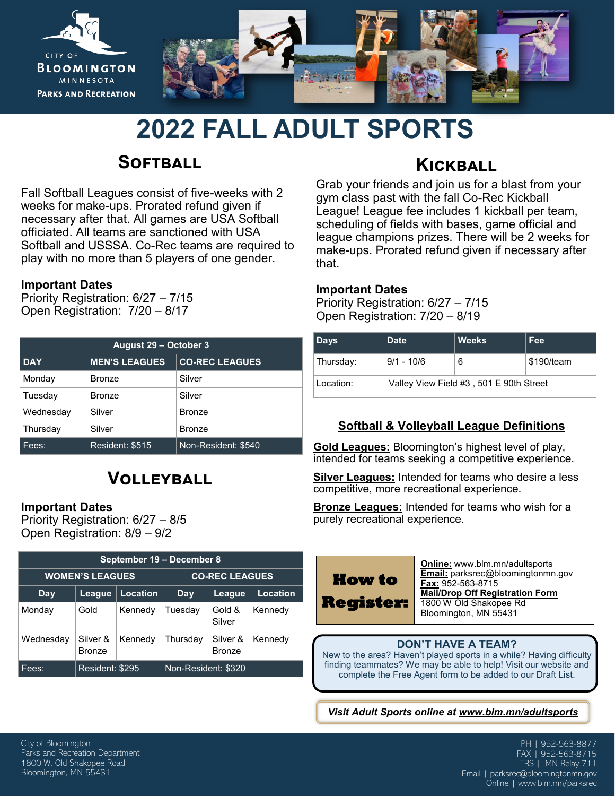

# **2022 FALL ADULT SPORTS**

## **Softball**

Fall Softball Leagues consist of five-weeks with 2 weeks for make-ups. Prorated refund given if necessary after that. All games are USA Softball officiated. All teams are sanctioned with USA Softball and USSSA. Co-Rec teams are required to play with no more than 5 players of one gender.

#### **Important Dates**

Priority Registration: 6/27 – 7/15 Open Registration: 7/20 – 8/17

| <b>August 29 - October 3</b> |                      |                       |  |  |  |  |
|------------------------------|----------------------|-----------------------|--|--|--|--|
| <b>DAY</b>                   | <b>MEN'S LEAGUES</b> | <b>CO-REC LEAGUES</b> |  |  |  |  |
| Monday                       | <b>Bronze</b>        | Silver                |  |  |  |  |
| Tuesday                      | <b>Bronze</b>        | Silver                |  |  |  |  |
| Wednesday                    | Silver               | <b>Bronze</b>         |  |  |  |  |
| Thursday                     | Silver               | <b>Bronze</b>         |  |  |  |  |
| Fees:                        | Resident: \$515      | Non-Resident: \$540   |  |  |  |  |

## **Volleyball**

#### **Important Dates**

Priority Registration: 6/27 – 8/5 Open Registration: 8/9 – 9/2

| September 19 - December 8 |                           |                 |                       |                           |          |  |  |  |
|---------------------------|---------------------------|-----------------|-----------------------|---------------------------|----------|--|--|--|
|                           | <b>WOMEN'S LEAGUES</b>    |                 | <b>CO-REC LEAGUES</b> |                           |          |  |  |  |
| Day                       | League                    | <b>Location</b> | Day                   | League                    | Location |  |  |  |
| Monday                    | Gold                      | Kennedy         | Tuesdav               | Gold &<br>Silver          | Kennedy  |  |  |  |
| Wednesday                 | Silver &<br><b>Bronze</b> | Kennedy         | Thursdav              | Silver &<br><b>Bronze</b> | Kennedy  |  |  |  |
| Fees:                     | Resident: \$295           |                 | Non-Resident: \$320   |                           |          |  |  |  |

### **Kickball**

Grab your friends and join us for a blast from your gym class past with the fall Co-Rec Kickball League! League fee includes 1 kickball per team, scheduling of fields with bases, game official and league champions prizes. There will be 2 weeks for make-ups. Prorated refund given if necessary after that.

#### **Important Dates**

Priority Registration: 6/27 – 7/15 Open Registration: 7/20 – 8/19

| Days      | <b>Date</b>                             | <b>Weeks</b> | Fee        |  |  |  |  |
|-----------|-----------------------------------------|--------------|------------|--|--|--|--|
| Thursday: | $9/1 - 10/6$                            | 6            | \$190/team |  |  |  |  |
| Location: | Valley View Field #3, 501 E 90th Street |              |            |  |  |  |  |

#### **Softball & Volleyball League Definitions**

**Gold Leagues:** Bloomington's highest level of play, intended for teams seeking a competitive experience.

**Silver Leagues:** Intended for teams who desire a less competitive, more recreational experience.

**Bronze Leagues:** Intended for teams who wish for a purely recreational experience.

#### **DON'T HAVE A TEAM?**

New to the area? Haven't played sports in a while? Having difficulty finding teammates? We may be able to help! Visit our website and complete the Free Agent form to be added to our Draft List.

*Visit Adult Sports online at www.blm.mn/adultsports*

City of Bloomington Parks and Recreation Department 1800 W. Old Shakopee Road Bloomington, MN 55431

PH | 952-563-8877 FAX | 952-563-8715 TRS | MN Relay 711 Email | parksrec@bloomingtonmn.gov Online | www.blm.mn/parksrec